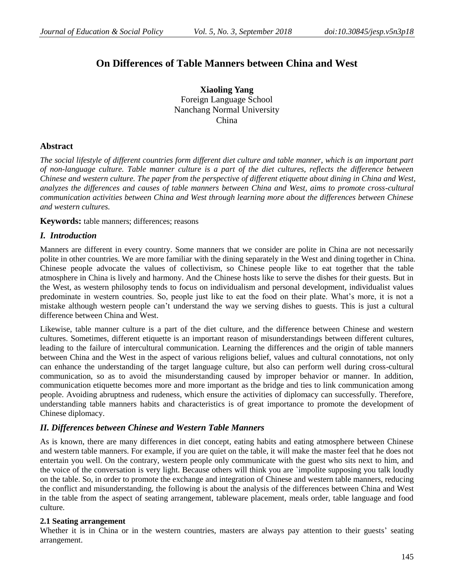# **On Differences of Table Manners between China and West**

**Xiaoling Yang** Foreign Language School Nanchang Normal University China

# **Abstract**

*The social lifestyle of different countries form different diet culture and table manner, which is an important part of non-language culture. Table manner culture is a part of the diet cultures, reflects the difference between Chinese and western culture. The paper from the perspective of different etiquette about dining in China and West, analyzes the differences and causes of table manners between China and West, aims to promote cross-cultural communication activities between China and West through learning more about the differences between Chinese and western cultures.* 

**Keywords:** table manners; differences; reasons

# *I. Introduction*

Manners are different in every country. Some manners that we consider are polite in China are not necessarily polite in other countries. We are more familiar with the dining separately in the West and dining together in China. Chinese people advocate the values of collectivism, so Chinese people like to eat together that the table atmosphere in China is lively and harmony. And the Chinese hosts like to serve the dishes for their guests. But in the West, as western philosophy tends to focus on individualism and personal development, individualist values predominate in western countries. So, people just like to eat the food on their plate. What's more, it is not a mistake although western people can't understand the way we serving dishes to guests. This is just a cultural difference between China and West.

Likewise, table manner culture is a part of the diet culture, and the difference between Chinese and western cultures. Sometimes, different etiquette is an important reason of misunderstandings between different cultures, leading to the failure of intercultural communication. Learning the differences and the origin of table manners between China and the West in the aspect of various religions belief, values and cultural connotations, not only can enhance the understanding of the target language culture, but also can perform well during cross-cultural communication, so as to avoid the misunderstanding caused by improper behavior or manner. In addition, communication etiquette becomes more and more important as the bridge and ties to link communication among people. Avoiding abruptness and rudeness, which ensure the activities of diplomacy can successfully. Therefore, understanding table manners habits and characteristics is of great importance to promote the development of Chinese diplomacy.

# *II. Differences between Chinese and Western Table Manners*

As is known, there are many differences in diet concept, eating habits and eating atmosphere between Chinese and western table manners. For example, if you are quiet on the table, it will make the master feel that he does not entertain you well. On the contrary, western people only communicate with the guest who sits next to him, and the voice of the conversation is very light. Because others will think you are `impolite supposing you talk loudly on the table. So, in order to promote the exchange and integration of Chinese and western table manners, reducing the conflict and misunderstanding, the following is about the analysis of the differences between China and West in the table from the aspect of seating arrangement, tableware placement, meals order, table language and food culture.

#### **2.1 Seating arrangement**

Whether it is in China or in the western countries, masters are always pay attention to their guests' seating arrangement.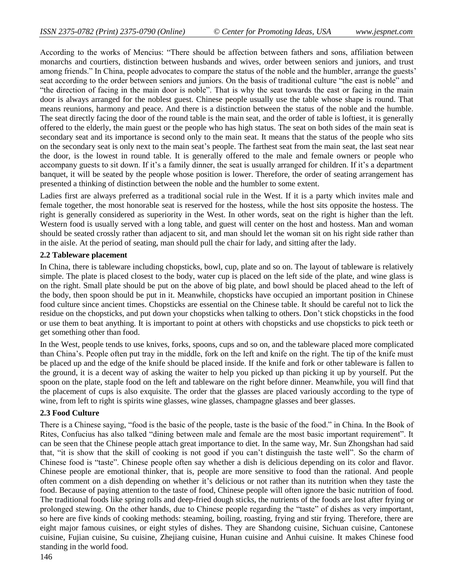According to the works of Mencius: "There should be affection between fathers and sons, affiliation between monarchs and courtiers, distinction between husbands and wives, order between seniors and juniors, and trust among friends." In China, people advocates to compare the status of the noble and the humbler, arrange the guests' seat according to the order between seniors and juniors. On the basis of traditional culture "the east is noble" and "the direction of facing in the main door is noble". That is why the seat towards the east or facing in the main door is always arranged for the noblest guest. Chinese people usually use the table whose shape is round. That means reunions, harmony and peace. And there is a distinction between the status of the noble and the humble. The seat directly facing the door of the round table is the main seat, and the order of table is loftiest, it is generally offered to the elderly, the main guest or the people who has high status. The seat on both sides of the main seat is secondary seat and its importance is second only to the main seat. It means that the status of the people who sits on the secondary seat is only next to the main seat's people. The farthest seat from the main seat, the last seat near the door, is the lowest in round table. It is generally offered to the male and female owners or people who accompany guests to sit down. If it's a family dinner, the seat is usually arranged for children. If it's a department banquet, it will be seated by the people whose position is lower. Therefore, the order of seating arrangement has presented a thinking of distinction between the noble and the humbler to some extent.

Ladies first are always preferred as a traditional social rule in the West. If it is a party which invites male and female together, the most honorable seat is reserved for the hostess, while the host sits opposite the hostess. The right is generally considered as superiority in the West. In other words, seat on the right is higher than the left. Western food is usually served with a long table, and guest will center on the host and hostess. Man and woman should be seated crossly rather than adjacent to sit, and man should let the woman sit on his right side rather than in the aisle. At the period of seating, man should pull the chair for lady, and sitting after the lady.

#### **2.2 Tableware placement**

In China, there is tableware including chopsticks, bowl, cup, plate and so on. The layout of tableware is relatively simple. The plate is placed closest to the body, water cup is placed on the left side of the plate, and wine glass is on the right. Small plate should be put on the above of big plate, and bowl should be placed ahead to the left of the body, then spoon should be put in it. Meanwhile, chopsticks have occupied an important position in Chinese food culture since ancient times. Chopsticks are essential on the Chinese table. It should be careful not to lick the residue on the chopsticks, and put down your chopsticks when talking to others. Don't stick chopsticks in the food or use them to beat anything. It is important to point at others with chopsticks and use chopsticks to pick teeth or get something other than food.

In the West, people tends to use knives, forks, spoons, cups and so on, and the tableware placed more complicated than China's. People often put tray in the middle, fork on the left and knife on the right. The tip of the knife must be placed up and the edge of the knife should be placed inside. If the knife and fork or other tableware is fallen to the ground, it is a decent way of asking the waiter to help you picked up than picking it up by yourself. Put the spoon on the plate, staple food on the left and tableware on the right before dinner. Meanwhile, you will find that the placement of cups is also exquisite. The order that the glasses are placed variously according to the type of wine, from left to right is spirits wine glasses, wine glasses, champagne glasses and beer glasses.

#### **2.3 Food Culture**

There is a Chinese saying, "food is the basic of the people, taste is the basic of the food." in China. In the Book of Rites, Confucius has also talked "dining between male and female are the most basic important requirement". It can be seen that the Chinese people attach great importance to diet. In the same way, Mr. Sun Zhongshan had said that, "it is show that the skill of cooking is not good if you can't distinguish the taste well". So the charm of Chinese food is "taste". Chinese people often say whether a dish is delicious depending on its color and flavor. Chinese people are emotional thinker, that is, people are more sensitive to food than the rational. And people often comment on a dish depending on whether it's delicious or not rather than its nutrition when they taste the food. Because of paying attention to the taste of food, Chinese people will often ignore the basic nutrition of food. The traditional foods like spring rolls and deep-fried dough sticks, the nutrients of the foods are lost after frying or prolonged stewing. On the other hands, due to Chinese people regarding the "taste" of dishes as very important, so here are five kinds of cooking methods: steaming, boiling, roasting, frying and stir frying. Therefore, there are eight major famous cuisines, or eight styles of dishes. They are Shandong cuisine, Sichuan cuisine, Cantonese cuisine, Fujian cuisine, Su cuisine, Zhejiang cuisine, Hunan cuisine and Anhui cuisine. It makes Chinese food standing in the world food.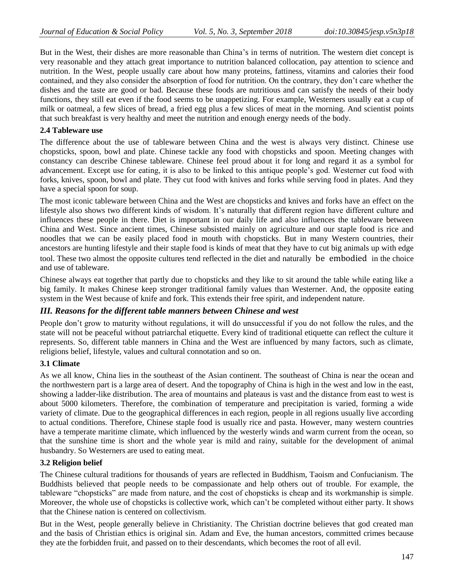But in the West, their dishes are more reasonable than China's in terms of nutrition. The western diet concept is very reasonable and they attach great importance to nutrition balanced collocation, pay attention to science and nutrition. In the West, people usually care about how many proteins, fattiness, vitamins and calories their food contained, and they also consider the absorption of food for nutrition. On the contrary, they don't care whether the dishes and the taste are good or bad. Because these foods are nutritious and can satisfy the needs of their body functions, they still eat even if the food seems to be unappetizing. For example, Westerners usually eat a cup of milk or oatmeal, a few slices of bread, a fried egg plus a few slices of meat in the morning. And scientist points that such breakfast is very healthy and meet the nutrition and enough energy needs of the body.

#### **2.4 Tableware use**

The difference about the use of tableware between China and the west is always very distinct. Chinese use chopsticks, spoon, bowl and plate. Chinese tackle any food with chopsticks and spoon. Meeting changes with constancy can describe Chinese tableware. Chinese feel proud about it for long and regard it as a symbol for advancement. [Except](file:///C:\Users\Administrator\AppData\Local\Yodao\DeskDict\frame\20150314105400\javascript:void(0);) use for eating, it is also to be linked to this antique people's god. Westerner cut food with forks, knives, spoon, bowl and plate. They cut food with knives and forks while serving food in plates. And they have a special spoon for soup.

The most iconic tableware between China and the West are chopsticks and knives and forks have an effect on the lifestyle also shows two different kinds of wisdom. It's naturally that different region have different culture and influences these people in there. Diet is important in our daily life and also influences the tableware between China and West. Since ancient times, Chinese subsisted mainly on agriculture and our staple food is rice and noodles that we can be easily placed food in mouth with chopsticks. But in many Western countries, their ancestors are hunting lifestyle and their staple food is kinds of meat that they have to cut big animals up with edge tool. These two almost the opposite cultures tend reflected in the diet and [naturally](file:///C:\Users\Administrator\AppData\Local\Yodao\DeskDict\frame\20150314105400\javascript:void(0);) be embodied [in](file:///C:\Users\Administrator\AppData\Local\Yodao\DeskDict\frame\20150314105400\javascript:void(0);) the choice and use of tableware.

Chinese always eat together that partly due to chopsticks and they like to sit around the table while eating like a big family. It makes Chinese keep stronger traditional family values than Westerner. And, the opposite eating system in the West because of knife and fork. This extends their free spirit, and independent nature.

#### *III. Reasons for the different table manners between Chinese and west*

People don't grow to maturity without regulations, it will do unsuccessful if you do not follow the rules, and the state will not be peaceful without patriarchal etiquette. Every kind of traditional etiquette can reflect the culture it represents. So, different table manners in China and the West are influenced by many factors, such as climate, religions belief, lifestyle, values and cultural connotation and so on.

#### **3.1 Climate**

As we all know, China lies in the southeast of the Asian continent. The southeast of China is near the ocean and the northwestern part is a large area of desert. And the topography of China is high in the west and low in the east, showing a ladder-like distribution. The area of mountains and plateaus is vast and the distance from east to west is about 5000 kilometers. Therefore, the combination of temperature and precipitation is varied, forming a wide variety of climate. Due to the geographical differences in each region, people in all regions usually live according to actual conditions. Therefore, Chinese staple food is usually rice and pasta. However, many western countries have a temperate maritime climate, which influenced by the westerly winds and warm current from the ocean, so that the sunshine time is short and the whole year is mild and rainy, suitable for the development of animal husbandry. So Westerners are used to eating meat.

#### **3.2 Religion belief**

The Chinese cultural traditions for thousands of years are reflected in Buddhism, Taoism and Confucianism. The Buddhists believed that people needs to be compassionate and help others out of trouble. For example, the tableware "chopsticks" are made from nature, and the cost of chopsticks is cheap and its workmanship is simple. Moreover, the whole use of chopsticks is collective work, which can't be completed without either party. It shows that the Chinese nation is centered on collectivism.

But in the West, people generally believe in Christianity. The Christian doctrine believes that god created man and the basis of Christian ethics is original sin. Adam and Eve, the human ancestors, committed crimes because they ate the forbidden fruit, and passed on to their descendants, which becomes the root of all evil.